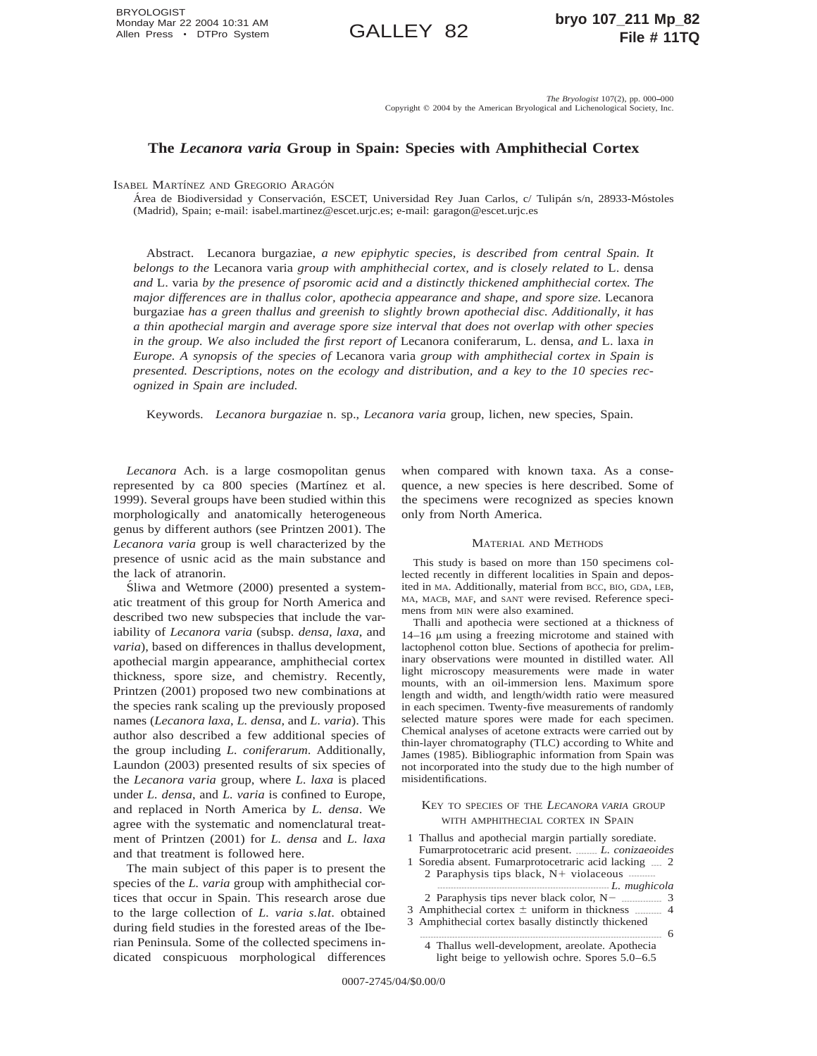

*The Bryologist* 107(2), pp. 000-000 Copyright  $©$  2004 by the American Bryological and Lichenological Society, Inc.

# **The** *Lecanora varia* **Group in Spain: Species with Amphithecial Cortex**

ISABEL MARTÍNEZ AND GREGORIO ARAGÓN

Área de Biodiversidad y Conservación, ESCET, Universidad Rey Juan Carlos, c/ Tulipán s/n, 28933-Móstoles (Madrid), Spain; e-mail: isabel.martinez@escet.urjc.es; e-mail: garagon@escet.urjc.es

Abstract. Lecanora burgaziae*, a new epiphytic species, is described from central Spain. It belongs to the* Lecanora varia *group with amphithecial cortex, and is closely related to* L. densa *and* L. varia *by the presence of psoromic acid and a distinctly thickened amphithecial cortex. The major differences are in thallus color, apothecia appearance and shape, and spore size.* Lecanora burgaziae *has a green thallus and greenish to slightly brown apothecial disc. Additionally, it has a thin apothecial margin and average spore size interval that does not overlap with other species in the group. We also included the first report of* Lecanora coniferarum*,* L. densa*, and* L. laxa *in Europe. A synopsis of the species of* Lecanora varia *group with amphithecial cortex in Spain is presented. Descriptions, notes on the ecology and distribution, and a key to the 10 species recognized in Spain are included.*

Keywords. *Lecanora burgaziae* n. sp., *Lecanora varia* group, lichen, new species, Spain.

*Lecanora* Ach. is a large cosmopolitan genus represented by ca 800 species (Martínez et al. 1999). Several groups have been studied within this morphologically and anatomically heterogeneous genus by different authors (see Printzen 2001). The *Lecanora varia* group is well characterized by the presence of usnic acid as the main substance and the lack of atranorin.

 $\text{Si}$ iwa and Wetmore (2000) presented a systematic treatment of this group for North America and described two new subspecies that include the variability of *Lecanora varia* (subsp. *densa*, *laxa*, and *varia*), based on differences in thallus development, apothecial margin appearance, amphithecial cortex thickness, spore size, and chemistry. Recently, Printzen (2001) proposed two new combinations at the species rank scaling up the previously proposed names (*Lecanora laxa*, *L. densa*, and *L. varia*). This author also described a few additional species of the group including *L. coniferarum*. Additionally, Laundon (2003) presented results of six species of the *Lecanora varia* group, where *L. laxa* is placed under *L. densa*, and *L. varia* is confined to Europe, and replaced in North America by *L. densa*. We agree with the systematic and nomenclatural treatment of Printzen (2001) for *L. densa* and *L. laxa* and that treatment is followed here.

The main subject of this paper is to present the species of the *L. varia* group with amphithecial cortices that occur in Spain. This research arose due to the large collection of *L. varia s.lat*. obtained during field studies in the forested areas of the Iberian Peninsula. Some of the collected specimens indicated conspicuous morphological differences when compared with known taxa. As a consequence, a new species is here described. Some of the specimens were recognized as species known only from North America.

### MATERIAL AND METHODS

This study is based on more than 150 specimens collected recently in different localities in Spain and deposited in MA. Additionally, material from BCC, BIO, GDA, LEB, MA, MACB, MAF, and SANT were revised. Reference specimens from MIN were also examined.

Thalli and apothecia were sectioned at a thickness of 14–16 mm using a freezing microtome and stained with lactophenol cotton blue. Sections of apothecia for preliminary observations were mounted in distilled water. All light microscopy measurements were made in water mounts, with an oil-immersion lens. Maximum spore length and width, and length/width ratio were measured in each specimen. Twenty-five measurements of randomly selected mature spores were made for each specimen. Chemical analyses of acetone extracts were carried out by thin-layer chromatography (TLC) according to White and James (1985). Bibliographic information from Spain was not incorporated into the study due to the high number of misidentifications.

# KEY TO SPECIES OF THE *LECANORA VARIA* GROUP WITH AMPHITHECIAL CORTEX IN SPAIN

1 Thallus and apothecial margin partially sorediate. Fumarprotocetraric acid present. ........ *L. conizaeoides* 1 Soredia absent. Fumarprotocetraric acid lacking  $\ldots$  2 2 Paraphysis tips black,  $N+$  violaceous ---------------------------------------------------------------- *L. mughicola* 2 Paraphysis tips never black color,  $N-$  -------------- 3<br>Amphithecial cortex  $\pm$  uniform in thickness ------ 4 3 Amphithecial cortex  $\pm$  uniform in thickness -<br>3 Amphithecial cortex basally distinctly thicken Amphithecial cortex basally distinctly thickened

<sup>------------------------------------------------------------------------------------------</sup> 6 4 Thallus well-development, areolate. Apothecia light beige to yellowish ochre. Spores 5.0–6.5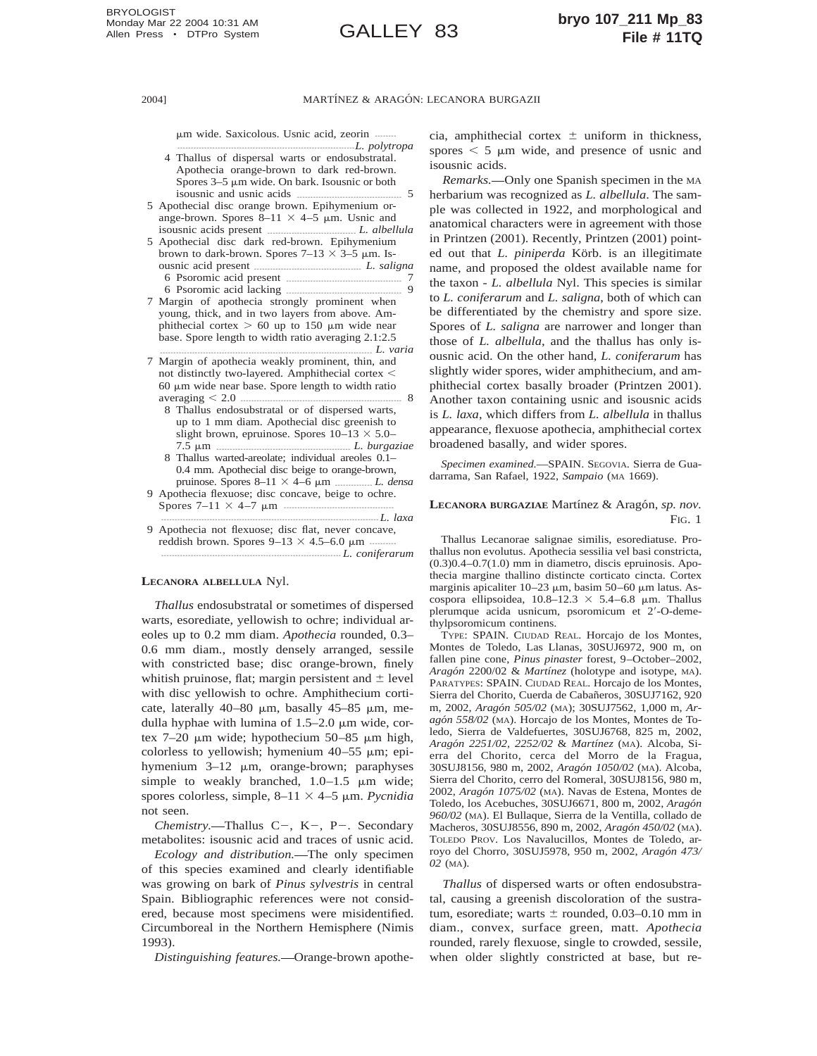### $20041$  MARTINEZ & ARAGÓN: LECANORA BURGAZII

um wide. Saxicolous. Usnic acid, zeorin -----

- -L. polytropa 4 Thallus of dispersal warts or endosubstratal. Apothecia orange-brown to dark red-brown. Spores  $3-5$   $\mu$ m wide. On bark. Isousnic or both isousnic and usnic acids  $\frac{1}{100}$  5
- 5 Apothecial disc orange brown. Epihymenium orange-brown. Spores  $8-11 \times 4-5$  µm. Usnic and isousnic acids present  $\ldots$  *L. albellula*
- 5 Apothecial disc dark red-brown. Epihymenium brown to dark-brown. Spores  $7-13 \times 3-5$  µm. Isousnic acid present  $L$ , saligna 6 Psoromic acid present ------------------------------------------- 7 6 Psoromic acid lacking .
- 7 Margin of apothecia strongly prominent when young, thick, and in two layers from above. Amphithecial cortex  $> 60$  up to 150  $\mu$ m wide near base. Spore length to width ratio averaging 2.1:2.5  $-$ *L.* varia
- 7 Margin of apothecia weakly prominent, thin, and not distinctly two-layered. Amphithecial cortex  $\lt$  $60 \mu m$  wide near base. Spore length to width ratio averaging , 2.0 ------------------------------------------------------------ 8
	- 8 Thallus endosubstratal or of dispersed warts, up to 1 mm diam. Apothecial disc greenish to slight brown, epruinose. Spores  $10-13 \times 5.0-$ 7.5 mm -------------------------------------------------- *L. burgaziae* 8 Thallus warted-areolate; individual areoles 0.1– 0.4 mm. Apothecial disc beige to orange-brown,
- pruinose. Spores  $8-11 \times 4-6 \mu m$   $\ldots$  *L. densa* 9 Apothecia flexuose; disc concave, beige to ochre.
	- Spores  $7-11 \times 4-7$  µm --------------------------------------------------------------------------------- *L. laxa*
- 9 Apothecia not flexuose; disc flat, never concave, reddish brown. Spores  $9-13 \times 4.5-6.0 \mu m$ ------------------------------------------------------------------- *L. coniferarum*

### **LECANORA ALBELLULA** Nyl.

*Thallus* endosubstratal or sometimes of dispersed warts, esorediate, yellowish to ochre; individual areoles up to 0.2 mm diam. *Apothecia* rounded, 0.3– 0.6 mm diam., mostly densely arranged, sessile with constricted base; disc orange-brown, finely whitish pruinose, flat; margin persistent and  $\pm$  level with disc yellowish to ochre. Amphithecium corticate, laterally 40–80  $\mu$ m, basally 45–85  $\mu$ m, medulla hyphae with lumina of  $1.5-2.0 \mu m$  wide, cortex 7–20  $\mu$ m wide; hypothecium 50–85  $\mu$ m high, colorless to yellowish; hymenium  $40-55 \mu m$ ; epihymenium  $3-12 \mu m$ , orange-brown; paraphyses simple to weakly branched,  $1.0-1.5 \mu m$  wide; spores colorless, simple,  $8-11 \times 4-5$  µm. *Pycnidia* not seen.

*Chemistry.*—Thallus  $C-$ ,  $K-$ ,  $P-$ . Secondary metabolites: isousnic acid and traces of usnic acid.

*Ecology and distribution.* The only specimen of this species examined and clearly identifiable was growing on bark of *Pinus sylvestris* in central Spain. Bibliographic references were not considered, because most specimens were misidentified. Circumboreal in the Northern Hemisphere (Nimis 1993).

*Distinguishing features.* - Orange-brown apothe-

cia, amphithecial cortex  $\pm$  uniform in thickness, spores  $\leq 5$  µm wide, and presence of usnic and isousnic acids.

*Remarks*.—Only one Spanish specimen in the MA herbarium was recognized as *L. albellula*. The sample was collected in 1922, and morphological and anatomical characters were in agreement with those in Printzen (2001). Recently, Printzen (2001) pointed out that *L. piniperda* Körb. is an illegitimate name, and proposed the oldest available name for the taxon - *L. albellula* Nyl. This species is similar to *L. coniferarum* and *L. saligna*, both of which can be differentiated by the chemistry and spore size. Spores of *L. saligna* are narrower and longer than those of *L. albellula*, and the thallus has only isousnic acid. On the other hand, *L. coniferarum* has slightly wider spores, wider amphithecium, and amphithecial cortex basally broader (Printzen 2001). Another taxon containing usnic and isousnic acids is *L. laxa*, which differs from *L. albellula* in thallus appearance, flexuose apothecia, amphithecial cortex broadened basally, and wider spores.

*Specimen examined.*—SPAIN. SEGOVIA. Sierra de Guadarrama, San Rafael, 1922, *Sampaio* (MA 1669).

# LECANORA BURGAZIAE Martínez & Aragón, *sp. nov.* FIG. 1

Thallus Lecanorae salignae similis, esorediatuse. Prothallus non evolutus. Apothecia sessilia vel basi constricta,  $(0.3)0.4 - 0.7(1.0)$  mm in diametro, discis epruinosis. Apothecia margine thallino distincte corticato cincta. Cortex marginis apicaliter  $10-23 \mu m$ , basim  $50-60 \mu m$  latus. Ascospora ellipsoidea,  $10.8-12.3 \times 5.4-6.8 \mu m$ . Thallus plerumque acida usnicum, psoromicum et 2'-O-demethylpsoromicum continens.

TYPE: SPAIN. CIUDAD REAL. Horcajo de los Montes, Montes de Toledo, Las Llanas, 30SUJ6972, 900 m, on fallen pine cone, *Pinus pinaster* forest, 9–October–2002, *Arago´n* 2200/02 & *Martı´nez* (holotype and isotype, MA). PARATYPES: SPAIN. CIUDAD REAL. Horcajo de los Montes, Sierra del Chorito, Cuerda de Cabañeros, 30SUJ7162, 920 m, 2002, *Aragón 505/02* (MA); 30SUJ7562, 1,000 m, *Arago´n 558/02* (MA). Horcajo de los Montes, Montes de Toledo, Sierra de Valdefuertes, 30SUJ6768, 825 m, 2002, *Arago´n 2251/02, 2252/02* & *Martı´nez* (MA). Alcoba, Sierra del Chorito, cerca del Morro de la Fragua, 30SUJ8156, 980 m, 2002, *Aragón 1050/02* (MA). Alcoba, Sierra del Chorito, cerro del Romeral, 30SUJ8156, 980 m, 2002, *Arago´n 1075/02* (MA). Navas de Estena, Montes de Toledo, los Acebuches, 30SUJ6671, 800 m, 2002, *Arago´n 960/02* (MA). El Bullaque, Sierra de la Ventilla, collado de Macheros, 30SUJ8556, 890 m, 2002, Aragón 450/02 (MA). TOLEDO PROV. Los Navalucillos, Montes de Toledo, arroyo del Chorro, 30SUJ5978, 950 m, 2002, *Arago´n 473/ 02* (MA).

*Thallus* of dispersed warts or often endosubstratal, causing a greenish discoloration of the sustratum, esorediate; warts  $\pm$  rounded, 0.03–0.10 mm in diam., convex, surface green, matt. *Apothecia* rounded, rarely flexuose, single to crowded, sessile, when older slightly constricted at base, but re-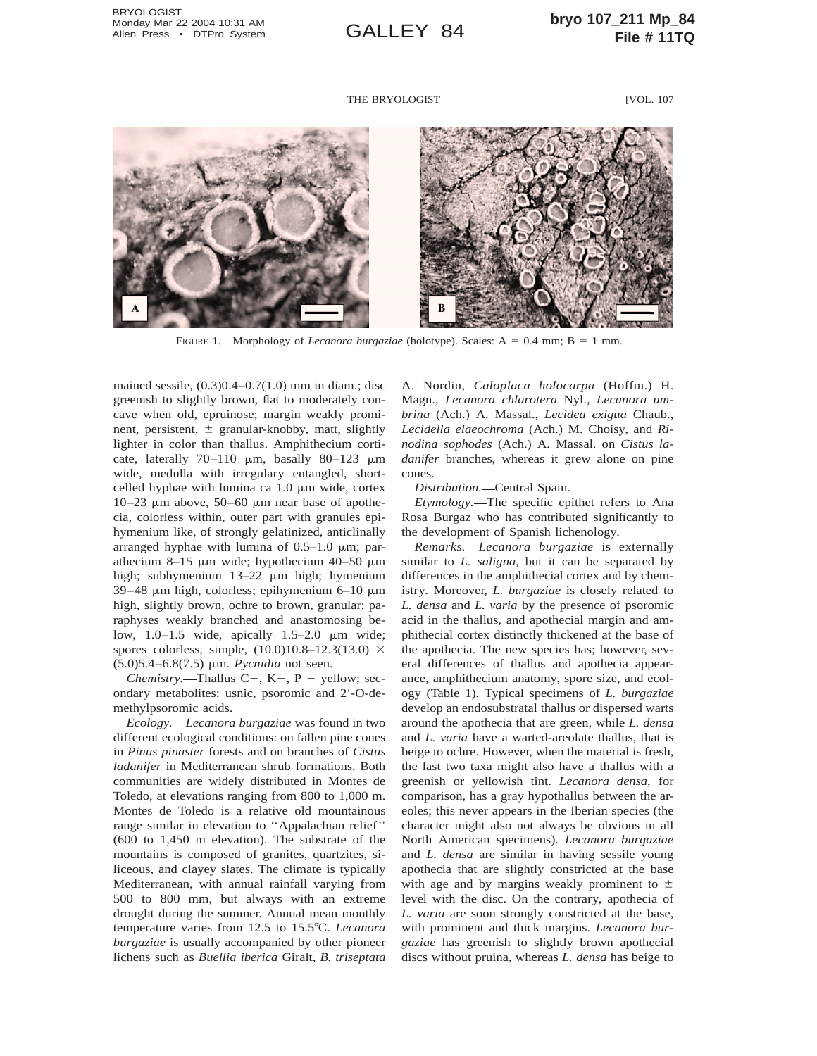# THE BRYOLOGIST [VOL. 107]



FIGURE 1. Morphology of *Lecanora burgaziae* (holotype). Scales:  $A = 0.4$  mm;  $B = 1$  mm.

mained sessile, (0.3)0.4–0.7(1.0) mm in diam.; disc greenish to slightly brown, flat to moderately concave when old, epruinose; margin weakly prominent, persistent,  $\pm$  granular-knobby, matt, slightly lighter in color than thallus. Amphithecium corticate, laterally 70-110  $\mu$ m, basally 80-123  $\mu$ m wide, medulla with irregulary entangled, shortcelled hyphae with lumina ca  $1.0 \mu m$  wide, cortex 10–23  $\mu$ m above, 50–60  $\mu$ m near base of apothecia, colorless within, outer part with granules epihymenium like, of strongly gelatinized, anticlinally arranged hyphae with lumina of  $0.5-1.0 \mu m$ ; parathecium 8–15  $\mu$ m wide; hypothecium 40–50  $\mu$ m high; subhymenium 13-22 μm high; hymenium 39–48  $\mu$ m high, colorless; epihymenium 6–10  $\mu$ m high, slightly brown, ochre to brown, granular; paraphyses weakly branched and anastomosing below,  $1.0-1.5$  wide, apically  $1.5-2.0$   $\mu$ m wide; spores colorless, simple,  $(10.0)10.8-12.3(13.0) \times$ (5.0)5.4–6.8(7.5) mm. *Pycnidia* not seen.

*Chemistry.*—Thallus  $C-, K-, P$  + yellow; secondary metabolites: usnic, psoromic and 2'-O-demethylpsoromic acids.

*Ecology. Lecanora burgaziae* was found in two different ecological conditions: on fallen pine cones in *Pinus pinaster* forests and on branches of *Cistus ladanifer* in Mediterranean shrub formations. Both communities are widely distributed in Montes de Toledo, at elevations ranging from 800 to 1,000 m. Montes de Toledo is a relative old mountainous range similar in elevation to ''Appalachian relief'' (600 to 1,450 m elevation). The substrate of the mountains is composed of granites, quartzites, siliceous, and clayey slates. The climate is typically Mediterranean, with annual rainfall varying from 500 to 800 mm, but always with an extreme drought during the summer. Annual mean monthly temperature varies from 12.5 to 15.5°C. *Lecanora burgaziae* is usually accompanied by other pioneer lichens such as *Buellia iberica* Giralt, *B. triseptata*

A. Nordin, *Caloplaca holocarpa* (Hoffm.) H. Magn., *Lecanora chlarotera* Nyl., *Lecanora umbrina* (Ach.) A. Massal., *Lecidea exigua* Chaub., *Lecidella elaeochroma* (Ach.) M. Choisy, and *Rinodina sophodes* (Ach.) A. Massal. on *Cistus ladanifer* branches, whereas it grew alone on pine cones.

*Distribution.* - Central Spain.

*Etymology.*—The specific epithet refers to Ana Rosa Burgaz who has contributed significantly to the development of Spanish lichenology.

*Remarks. Lecanora burgaziae* is externally similar to *L. saligna*, but it can be separated by differences in the amphithecial cortex and by chemistry. Moreover, *L. burgaziae* is closely related to *L. densa* and *L. varia* by the presence of psoromic acid in the thallus, and apothecial margin and amphithecial cortex distinctly thickened at the base of the apothecia. The new species has; however, several differences of thallus and apothecia appearance, amphithecium anatomy, spore size, and ecology (Table 1). Typical specimens of *L. burgaziae* develop an endosubstratal thallus or dispersed warts around the apothecia that are green, while *L. densa* and *L. varia* have a warted-areolate thallus, that is beige to ochre. However, when the material is fresh, the last two taxa might also have a thallus with a greenish or yellowish tint. *Lecanora densa*, for comparison, has a gray hypothallus between the areoles; this never appears in the Iberian species (the character might also not always be obvious in all North American specimens). *Lecanora burgaziae* and *L. densa* are similar in having sessile young apothecia that are slightly constricted at the base with age and by margins weakly prominent to  $\pm$ level with the disc. On the contrary, apothecia of *L. varia* are soon strongly constricted at the base, with prominent and thick margins. *Lecanora burgaziae* has greenish to slightly brown apothecial discs without pruina, whereas *L. densa* has beige to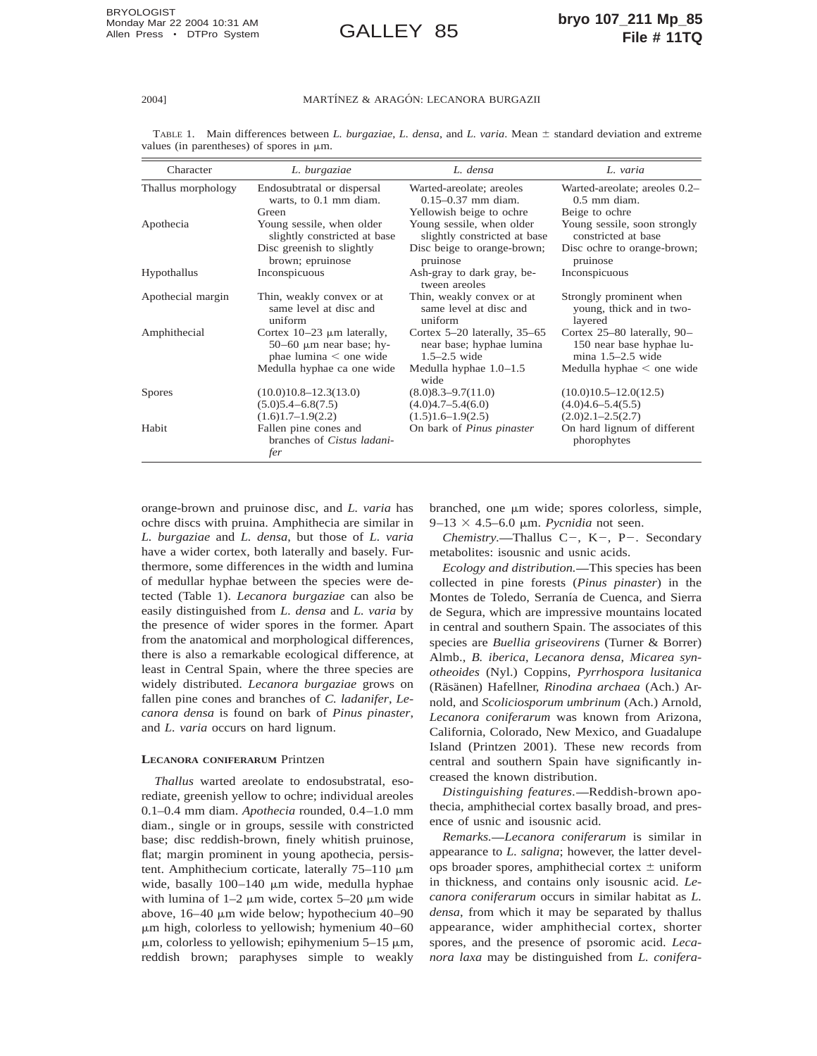# Allen Press • DTPro System GALLEY 85 **bryo 107\_211 Mp\_85 File # 11TQ**

# 2004] MARTÍNEZ & ARAGÓN: LECANORA BURGAZII

TABLE 1. Main differences between *L. burgaziae, L. densa*, and *L. varia*. Mean  $\pm$  standard deviation and extreme values (in parentheses) of spores in  $\mu$ m.

| L. burgaziae                                                                                | L. densa                                                                         | L. varia                                                                       |
|---------------------------------------------------------------------------------------------|----------------------------------------------------------------------------------|--------------------------------------------------------------------------------|
| Endosubtratal or dispersal<br>warts, to 0.1 mm diam.                                        | Warted-areolate; areoles<br>$0.15 - 0.37$ mm diam.                               | Warted-areolate; areoles 0.2-<br>$0.5$ mm diam.                                |
| Green                                                                                       | Yellowish beige to ochre                                                         | Beige to ochre                                                                 |
| Young sessile, when older<br>slightly constricted at base                                   | Young sessile, when older<br>slightly constricted at base                        | Young sessile, soon strongly<br>constricted at base                            |
| Disc greenish to slightly<br>brown; epruinose                                               | Disc beige to orange-brown;<br>pruinose                                          | Disc ochre to orange-brown;<br>pruinose                                        |
| Inconspicuous                                                                               | Ash-gray to dark gray, be-<br>tween areoles                                      | Inconspicuous                                                                  |
| Thin, weakly convex or at<br>same level at disc and<br>uniform                              | Thin, weakly convex or at<br>same level at disc and<br>uniform                   | Strongly prominent when<br>young, thick and in two-<br>layered                 |
| Cortex $10-23 \mu m$ laterally,<br>$50-60$ µm near base; hy-<br>phae lumina $\leq$ one wide | Cortex $5-20$ laterally, $35-65$<br>near base; hyphae lumina<br>$1.5 - 2.5$ wide | Cortex 25-80 laterally, 90-<br>150 near base hyphae lu-<br>mina $1.5-2.5$ wide |
| Medulla hyphae ca one wide                                                                  | Medulla hyphae $1.0-1.5$<br>wide                                                 | Medulla hyphae $\leq$ one wide                                                 |
| $(10.0)10.8 - 12.3(13.0)$                                                                   | $(8.0)8.3 - 9.7(11.0)$                                                           | $(10.0)10.5 - 12.0(12.5)$                                                      |
| $(5.0)5.4 - 6.8(7.5)$                                                                       | $(4.0)4.7 - 5.4(6.0)$                                                            | $(4.0)4.6 - 5.4(5.5)$                                                          |
| $(1.6)1.7-1.9(2.2)$                                                                         | $(1.5)1.6 - 1.9(2.5)$                                                            | $(2.0)2.1 - 2.5(2.7)$                                                          |
| Fallen pine cones and<br>branches of <i>Cistus ladani-</i>                                  | On bark of <i>Pinus pinaster</i>                                                 | On hard lignum of different<br>phorophytes                                     |
|                                                                                             | fer                                                                              |                                                                                |

orange-brown and pruinose disc, and *L. varia* has ochre discs with pruina. Amphithecia are similar in *L. burgaziae* and *L. densa*, but those of *L. varia* have a wider cortex, both laterally and basely. Furthermore, some differences in the width and lumina of medullar hyphae between the species were detected (Table 1). *Lecanora burgaziae* can also be easily distinguished from *L. densa* and *L. varia* by the presence of wider spores in the former. Apart from the anatomical and morphological differences, there is also a remarkable ecological difference, at least in Central Spain, where the three species are widely distributed. *Lecanora burgaziae* grows on fallen pine cones and branches of *C. ladanifer*, *Lecanora densa* is found on bark of *Pinus pinaster*, and *L. varia* occurs on hard lignum.

# **LECANORA CONIFERARUM** Printzen

*Thallus* warted areolate to endosubstratal, esorediate, greenish yellow to ochre; individual areoles 0.1–0.4 mm diam. *Apothecia* rounded, 0.4–1.0 mm diam., single or in groups, sessile with constricted base; disc reddish-brown, finely whitish pruinose, flat; margin prominent in young apothecia, persistent. Amphithecium corticate, laterally  $75-110 \mu m$ wide, basally  $100-140$  µm wide, medulla hyphae with lumina of  $1-2 \mu m$  wide, cortex  $5-20 \mu m$  wide above,  $16-40 \mu m$  wide below; hypothecium  $40-90$  $\mu$ m high, colorless to yellowish; hymenium 40–60  $\mu$ m, colorless to yellowish; epihymenium 5–15  $\mu$ m, reddish brown; paraphyses simple to weakly

branched, one  $\mu$ m wide; spores colorless, simple,  $9-13 \times 4.5-6.0 \mu m$ . *Pycnidia* not seen.

*Chemistry.*—Thallus  $C-$ ,  $K-$ ,  $P-$ . Secondary metabolites: isousnic and usnic acids.

*Ecology and distribution.* This species has been collected in pine forests (*Pinus pinaster*) in the Montes de Toledo, Serranía de Cuenca, and Sierra de Segura, which are impressive mountains located in central and southern Spain. The associates of this species are *Buellia griseovirens* (Turner & Borrer) Almb., *B. iberica*, *Lecanora densa*, *Micarea synotheoides* (Nyl.) Coppins, *Pyrrhospora lusitanica* (Räsänen) Hafellner, *Rinodina archaea* (Ach.) Arnold, and *Scoliciosporum umbrinum* (Ach.) Arnold, *Lecanora coniferarum* was known from Arizona, California, Colorado, New Mexico, and Guadalupe Island (Printzen 2001). These new records from central and southern Spain have significantly increased the known distribution.

*Distinguishing features.* Reddish-brown apothecia, amphithecial cortex basally broad, and presence of usnic and isousnic acid.

*Remarks. Lecanora coniferarum* is similar in appearance to *L. saligna*; however, the latter develops broader spores, amphithecial cortex  $\pm$  uniform in thickness, and contains only isousnic acid. *Lecanora coniferarum* occurs in similar habitat as *L. densa*, from which it may be separated by thallus appearance, wider amphithecial cortex, shorter spores, and the presence of psoromic acid. *Lecanora laxa* may be distinguished from *L. conifera-*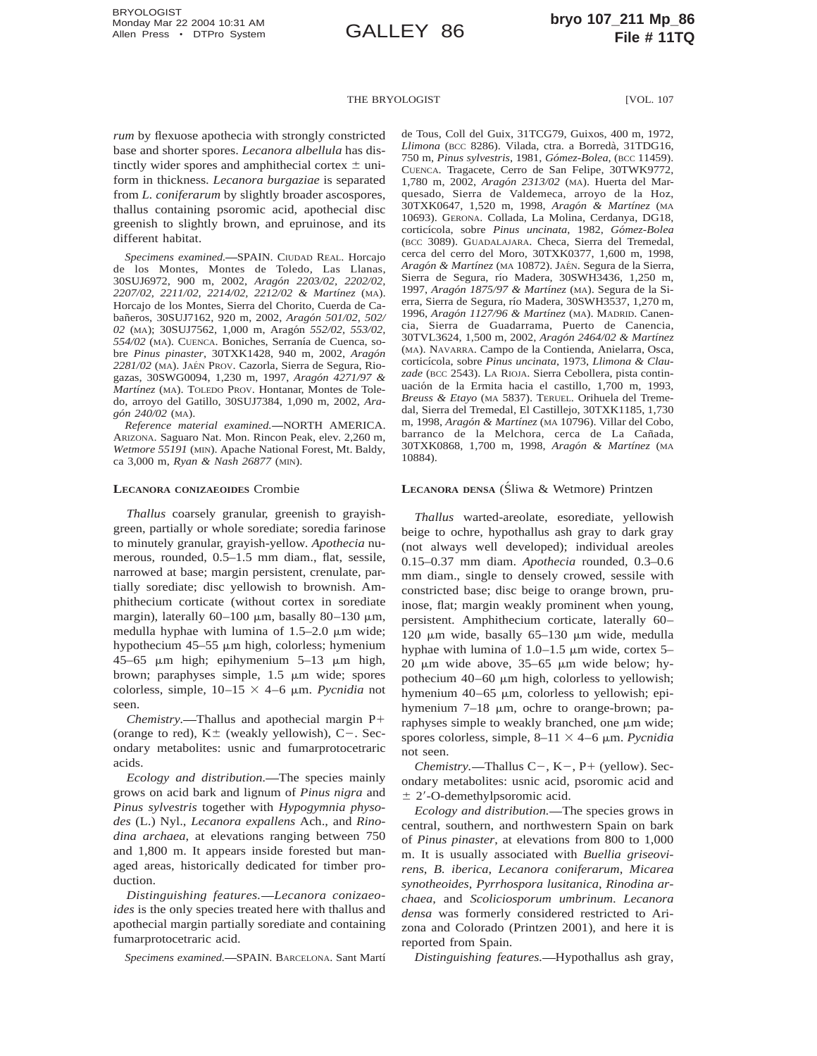### THE BRYOLOGIST [VOL. 107]

*rum* by flexuose apothecia with strongly constricted base and shorter spores. *Lecanora albellula* has distinctly wider spores and amphithecial cortex  $\pm$  uniform in thickness. *Lecanora burgaziae* is separated from *L. coniferarum* by slightly broader ascospores, thallus containing psoromic acid, apothecial disc greenish to slightly brown, and epruinose, and its different habitat.

Specimens examined.**-SPAIN**. CIUDAD REAL. Horcajo de los Montes, Montes de Toledo, Las Llanas, 30SUJ6972, 900 m, 2002, *Arago´n 2203/02, 2202/02, 2207/02, 2211/02, 2214/02, 2212/02 & Martı´nez* (MA). Horcajo de los Montes, Sierra del Chorito, Cuerda de Cabañeros, 30SUJ7162, 920 m, 2002, Aragón 501/02, 502/ *02* (MA); 30SUJ7562, 1,000 m, Arago´n *552/02, 553/02,* 554/02 (MA). CUENCA. Boniches, Serranía de Cuenca, sobre *Pinus pinaster*, 30TXK1428, 940 m, 2002, *Arago´n 2281/02* (MA). JAE´N PROV. Cazorla, Sierra de Segura, Riogazas, 30SWG0094, 1,230 m, 1997, *Aragón 4271/97 &* Martínez (MA). TOLEDO PROV. Hontanar, Montes de Toledo, arroyo del Gatillo, 30SUJ7384, 1,090 m, 2002, *Arago´n 240/02* (MA).

*Reference material examined.* NORTH AMERICA. ARIZONA. Saguaro Nat. Mon. Rincon Peak, elev. 2,260 m, *Wetmore 55191* (MIN). Apache National Forest, Mt. Baldy, ca 3,000 m, *Ryan & Nash 26877* (MIN).

# **LECANORA CONIZAEOIDES** Crombie

*Thallus* coarsely granular, greenish to grayishgreen, partially or whole sorediate; soredia farinose to minutely granular, grayish-yellow. *Apothecia* numerous, rounded, 0.5–1.5 mm diam., flat, sessile, narrowed at base; margin persistent, crenulate, partially sorediate; disc yellowish to brownish. Amphithecium corticate (without cortex in sorediate margin), laterally 60–100  $\mu$ m, basally 80–130  $\mu$ m, medulla hyphae with lumina of  $1.5-2.0 \mu m$  wide; hypothecium  $45-55 \mu m$  high, colorless; hymenium 45–65  $\mu$ m high; epihymenium 5–13  $\mu$ m high, brown; paraphyses simple,  $1.5 \mu m$  wide; spores colorless, simple,  $10-15 \times 4-6 \mu m$ . *Pycnidia* not seen.

*Chemistry.* Thallus and apothecial margin P+ (orange to red),  $K_{\pm}$  (weakly yellowish), C-. Secondary metabolites: usnic and fumarprotocetraric acids.

*Ecology and distribution.* The species mainly grows on acid bark and lignum of *Pinus nigra* and *Pinus sylvestris* together with *Hypogymnia physodes* (L.) Nyl., *Lecanora expallens* Ach., and *Rinodina archaea*, at elevations ranging between 750 and 1,800 m. It appears inside forested but managed areas, historically dedicated for timber production.

*Distinguishing features. Lecanora conizaeoides* is the only species treated here with thallus and apothecial margin partially sorediate and containing fumarprotocetraric acid.

Specimens examined.-SPAIN. BARCELONA. Sant Martí

de Tous, Coll del Guix, 31TCG79, Guixos, 400 m, 1972, *Llimona* (BCC 8286). Vilada, ctra. a Borredà, 31TDG16, 750 m, *Pinus sylvestris*, 1981, *Go´mez-Bolea*, (BCC 11459). CUENCA. Tragacete, Cerro de San Felipe, 30TWK9772, 1,780 m, 2002, *Arago´n 2313/02* (MA). Huerta del Marquesado, Sierra de Valdemeca, arroyo de la Hoz, 30TXK0647, 1,520 m, 1998, Aragón & Martínez (MA 10693). GERONA. Collada, La Molina, Cerdanya, DG18, corticı´cola, sobre *Pinus uncinata*, 1982, *Go´mez-Bolea* (BCC 3089). GUADALAJARA. Checa, Sierra del Tremedal, cerca del cerro del Moro, 30TXK0377, 1,600 m, 1998, *Arago´n & Martı´nez* (MA 10872). JAE´N. Segura de la Sierra, Sierra de Segura, río Madera, 30SWH3436, 1,250 m, 1997, *Arago´n 1875/97 & Martı´nez* (MA). Segura de la Sierra, Sierra de Segura, río Madera, 30SWH3537, 1,270 m, 1996, *Arago´n 1127/96 & Martı´nez* (MA). MADRID. Canencia, Sierra de Guadarrama, Puerto de Canencia, 30TVL3624, 1,500 m, 2002, *Arago´n 2464/02 & Martı´nez* (MA). NAVARRA. Campo de la Contienda, Anielarra, Osca, corticícola, sobre Pinus uncinata, 1973, Llimona & Clau*zade* (BCC 2543). LA RIOJA. Sierra Cebollera, pista continuación de la Ermita hacia el castillo, 1,700 m, 1993, *Breuss & Etayo* (MA 5837). TERUEL. Orihuela del Tremedal, Sierra del Tremedal, El Castillejo, 30TXK1185, 1,730 m, 1998, Aragón & Martínez (MA 10796). Villar del Cobo, barranco de la Melchora, cerca de La Cañada, 30TXK0868, 1,700 m, 1998, Aragón & Martínez (MA 10884).

### **LECANORA DENSA** (Stiwa & Wetmore) Printzen

*Thallus* warted-areolate, esorediate, yellowish beige to ochre, hypothallus ash gray to dark gray (not always well developed); individual areoles 0.15–0.37 mm diam. *Apothecia* rounded, 0.3–0.6 mm diam., single to densely crowed, sessile with constricted base; disc beige to orange brown, pruinose, flat; margin weakly prominent when young, persistent. Amphithecium corticate, laterally 60– 120  $\mu$ m wide, basally 65–130  $\mu$ m wide, medulla hyphae with lumina of  $1.0-1.5 \mu m$  wide, cortex 5– 20  $\mu$ m wide above, 35–65  $\mu$ m wide below; hypothecium  $40-60 \mu m$  high, colorless to yellowish; hymenium 40–65  $\mu$ m, colorless to yellowish; epihymenium  $7-18$  µm, ochre to orange-brown; paraphyses simple to weakly branched, one  $\mu$ m wide; spores colorless, simple,  $8-11 \times 4-6 \mu m$ . *Pycnidia* not seen.

*Chemistry.*—Thallus  $C-$ ,  $K-$ ,  $P+$  (yellow). Secondary metabolites: usnic acid, psoromic acid and  $\pm$  2'-O-demethylpsoromic acid.

*Ecology and distribution.* The species grows in central, southern, and northwestern Spain on bark of *Pinus pinaster*, at elevations from 800 to 1,000 m. It is usually associated with *Buellia griseovirens*, *B. iberica*, *Lecanora coniferarum*, *Micarea synotheoides*, *Pyrrhospora lusitanica*, *Rinodina archaea*, and *Scoliciosporum umbrinum*. *Lecanora densa* was formerly considered restricted to Arizona and Colorado (Printzen 2001), and here it is reported from Spain.

*Distinguishing features.* Hypothallus ash gray,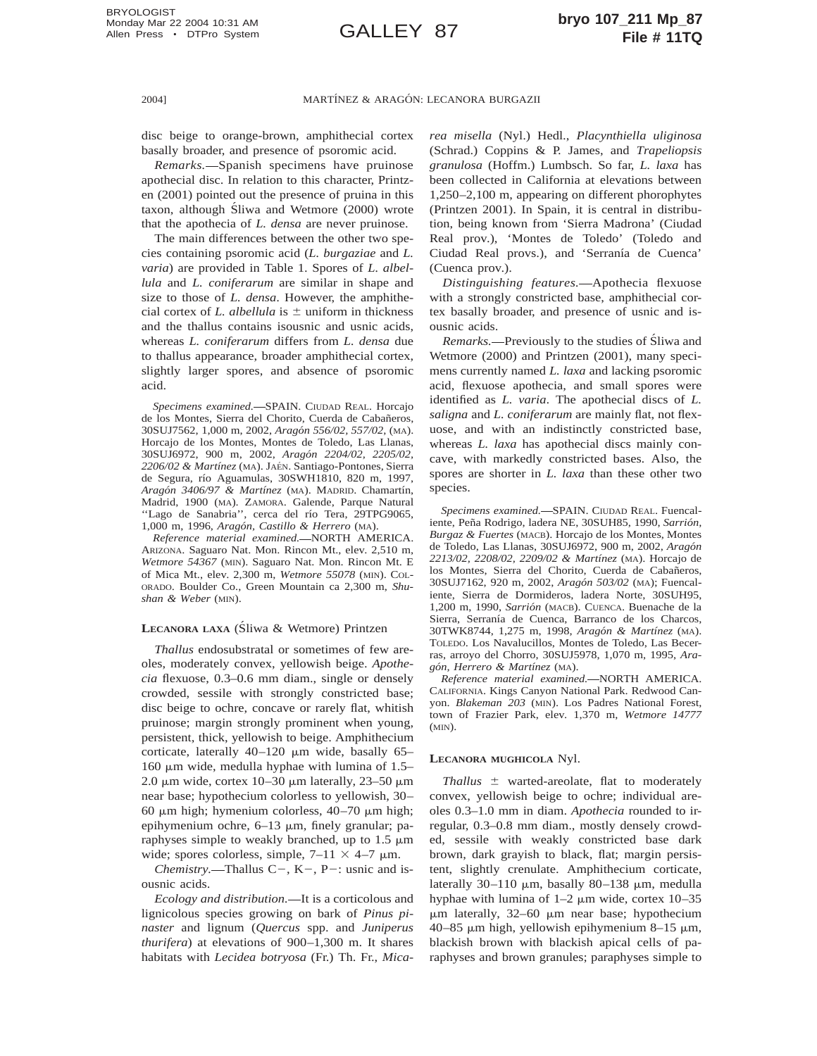# 2004] MARTÍNEZ & ARAGÓN: LECANORA BURGAZII

disc beige to orange-brown, amphithecial cortex basally broader, and presence of psoromic acid.

*Remarks.* Spanish specimens have pruinose apothecial disc. In relation to this character, Printzen (2001) pointed out the presence of pruina in this taxon, although Sliwa and Wetmore (2000) wrote that the apothecia of *L. densa* are never pruinose.

The main differences between the other two species containing psoromic acid (*L. burgaziae* and *L. varia*) are provided in Table 1. Spores of *L. albellula* and *L. coniferarum* are similar in shape and size to those of *L. densa*. However, the amphithecial cortex of *L. albellula* is  $+$  uniform in thickness and the thallus contains isousnic and usnic acids, whereas *L. coniferarum* differs from *L. densa* due to thallus appearance, broader amphithecial cortex, slightly larger spores, and absence of psoromic acid.

Specimens examined.-SPAIN. CIUDAD REAL. Horcajo de los Montes, Sierra del Chorito, Cuerda de Cabañeros, 30SUJ7562, 1,000 m, 2002, *Arago´n 556/02, 557/02*, (MA). Horcajo de los Montes, Montes de Toledo, Las Llanas, 30SUJ6972, 900 m, 2002, *Arago´n 2204/02, 2205/02, 2206/02 & Martı´nez* (MA). JAE´N. Santiago-Pontones, Sierra de Segura, río Aguamulas, 30SWH1810, 820 m, 1997, Aragón 3406/97 & Martínez (MA). MADRID. Chamartín, Madrid, 1900 (MA). ZAMORA. Galende, Parque Natural "Lago de Sanabria", cerca del río Tera, 29TPG9065, 1,000 m, 1996, *Arago´n, Castillo & Herrero* (MA).

*Reference material examined.* NORTH AMERICA. ARIZONA. Saguaro Nat. Mon. Rincon Mt., elev. 2,510 m, *Wetmore 54367* (MIN). Saguaro Nat. Mon. Rincon Mt. E of Mica Mt., elev. 2,300 m, *Wetmore 55078* (MIN). COL-ORADO. Boulder Co., Green Mountain ca 2,300 m, *Shushan & Weber* (MIN).

# LECANORA LAXA (Śliwa & Wetmore) Printzen

*Thallus* endosubstratal or sometimes of few areoles, moderately convex, yellowish beige. *Apothecia* flexuose, 0.3–0.6 mm diam., single or densely crowded, sessile with strongly constricted base; disc beige to ochre, concave or rarely flat, whitish pruinose; margin strongly prominent when young, persistent, thick, yellowish to beige. Amphithecium corticate, laterally  $40-120$  µm wide, basally 65-160  $\mu$ m wide, medulla hyphae with lumina of 1.5– 2.0  $\mu$ m wide, cortex 10–30  $\mu$ m laterally, 23–50  $\mu$ m near base; hypothecium colorless to yellowish, 30– 60  $\mu$ m high; hymenium colorless, 40–70  $\mu$ m high; epihymenium ochre,  $6-13 \mu m$ , finely granular; paraphyses simple to weakly branched, up to  $1.5 \mu m$ wide; spores colorless, simple,  $7-11 \times 4-7$  µm.

*Chemistry.*—Thallus  $C-$ ,  $K-$ ,  $P-$ : usnic and isousnic acids.

*Ecology and distribution*. - It is a corticolous and lignicolous species growing on bark of *Pinus pinaster* and lignum (*Quercus* spp. and *Juniperus thurifera*) at elevations of 900–1,300 m. It shares habitats with *Lecidea botryosa* (Fr.) Th. Fr., *Mica-* *rea misella* (Nyl.) Hedl., *Placynthiella uliginosa* (Schrad.) Coppins & P. James, and *Trapeliopsis granulosa* (Hoffm.) Lumbsch. So far, *L. laxa* has been collected in California at elevations between 1,250–2,100 m, appearing on different phorophytes (Printzen 2001). In Spain, it is central in distribution, being known from 'Sierra Madrona' (Ciudad Real prov.), 'Montes de Toledo' (Toledo and Ciudad Real provs.), and 'Serranía de Cuenca' (Cuenca prov.).

*Distinguishing features.* Apothecia flexuose with a strongly constricted base, amphithecial cortex basally broader, and presence of usnic and isousnic acids.

*Remarks.*—Previously to the studies of Sliwa and Wetmore (2000) and Printzen (2001), many specimens currently named *L. laxa* and lacking psoromic acid, flexuose apothecia, and small spores were identified as *L. varia*. The apothecial discs of *L. saligna* and *L. coniferarum* are mainly flat, not flexuose, and with an indistinctly constricted base, whereas *L. laxa* has apothecial discs mainly concave, with markedly constricted bases. Also, the spores are shorter in *L. laxa* than these other two species.

*Specimens examined.* SPAIN. CIUDAD REAL. Fuencaliente, Peña Rodrigo, ladera NE, 30SUH85, 1990, Sarrión, *Burgaz & Fuertes* (MACB). Horcajo de los Montes, Montes de Toledo, Las Llanas, 30SUJ6972, 900 m, 2002, *Arago´n 2213/02, 2208/02, 2209/02 & Martı´nez* (MA). Horcajo de los Montes, Sierra del Chorito, Cuerda de Cabañeros, 30SUJ7162, 920 m, 2002, *Arago´n 503/02* (MA); Fuencaliente, Sierra de Dormideros, ladera Norte, 30SUH95, 1,200 m, 1990, *Sarrión* (MACB). CUENCA. Buenache de la Sierra, Serranía de Cuenca, Barranco de los Charcos, 30TWK8744, 1,275 m, 1998, *Aragón & Martínez* (MA). TOLEDO. Los Navalucillos, Montes de Toledo, Las Becerras, arroyo del Chorro, 30SUJ5978, 1,070 m, 1995, *Arago´n, Herrero & Martı´nez* (MA).

*Reference material examined.* NORTH AMERICA. CALIFORNIA. Kings Canyon National Park. Redwood Canyon. *Blakeman 203* (MIN). Los Padres National Forest, town of Frazier Park, elev. 1,370 m, *Wetmore 14777* (MIN).

### **LECANORA MUGHICOLA** Nyl.

*Thallus*  $\pm$  warted-areolate, flat to moderately convex, yellowish beige to ochre; individual areoles 0.3–1.0 mm in diam. *Apothecia* rounded to irregular, 0.3–0.8 mm diam., mostly densely crowded, sessile with weakly constricted base dark brown, dark grayish to black, flat; margin persistent, slightly crenulate. Amphithecium corticate, laterally 30–110  $\mu$ m, basally 80–138  $\mu$ m, medulla hyphae with lumina of  $1-2 \mu m$  wide, cortex  $10-35$  $\mu$ m laterally, 32–60  $\mu$ m near base; hypothecium 40–85  $\mu$ m high, yellowish epihymenium 8–15  $\mu$ m, blackish brown with blackish apical cells of paraphyses and brown granules; paraphyses simple to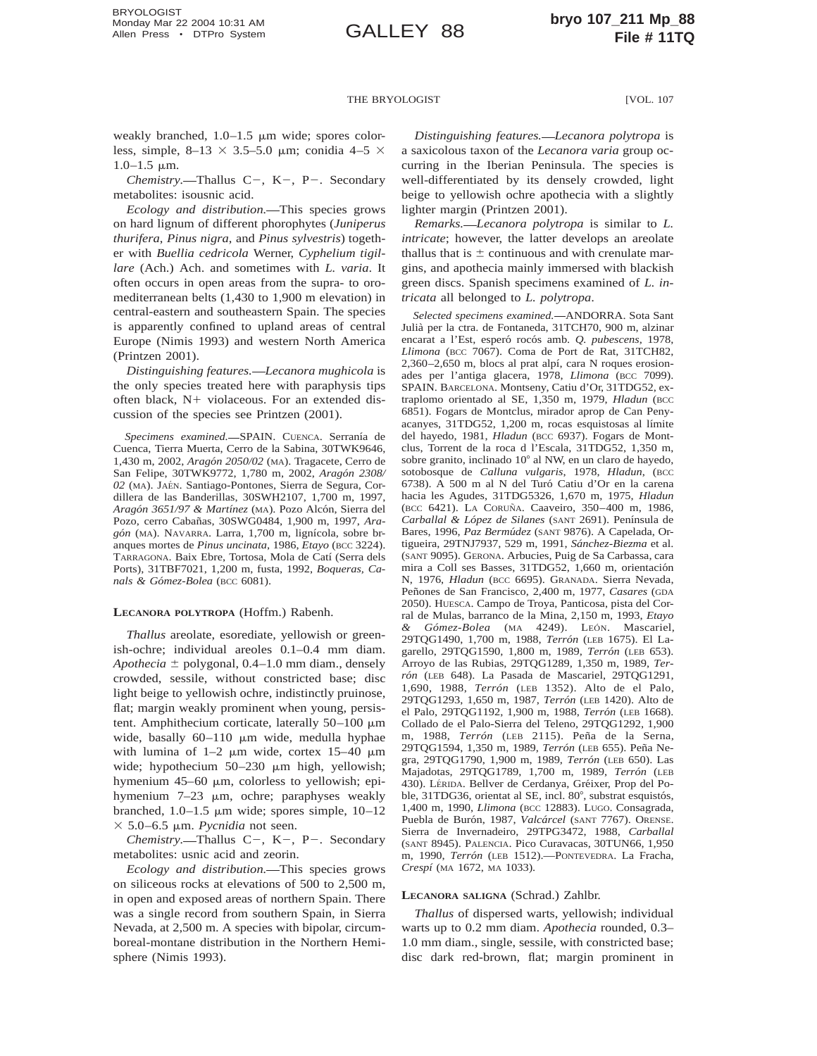**BRYOLOGIST** Monday Mar 22 2004 10:31 AM<br>Allen Press • DTPro System

# THE BRYOLOGIST [VOL. 107]

weakly branched,  $1.0-1.5 \mu m$  wide; spores colorless, simple,  $8-13 \times 3.5-5.0 \mu m$ ; conidia  $4-5 \times$  $1.0-1.5 \mu m$ .

*Chemistry.*—Thallus C-, K-, P-. Secondary metabolites: isousnic acid.

*Ecology and distribution.* This species grows on hard lignum of different phorophytes (*Juniperus thurifera*, *Pinus nigra*, and *Pinus sylvestris*) together with *Buellia cedricola* Werner, *Cyphelium tigillare* (Ach.) Ach. and sometimes with *L. varia*. It often occurs in open areas from the supra- to oromediterranean belts (1,430 to 1,900 m elevation) in central-eastern and southeastern Spain. The species is apparently confined to upland areas of central Europe (Nimis 1993) and western North America (Printzen 2001).

*Distinguishing features. Lecanora mughicola* is the only species treated here with paraphysis tips often black,  $N+$  violaceous. For an extended discussion of the species see Printzen (2001).

Specimens examined.-SPAIN. CUENCA. Serranía de Cuenca, Tierra Muerta, Cerro de la Sabina, 30TWK9646, 1,430 m, 2002, *Arago´n 2050/02* (MA). Tragacete, Cerro de San Felipe, 30TWK9772, 1,780 m, 2002, Aragón 2308/ 02 (MA). JAÉN. Santiago-Pontones, Sierra de Segura, Cordillera de las Banderillas, 30SWH2107, 1,700 m, 1997, *Arago´n 3651/97 & Martı´nez* (MA). Pozo Alco´n, Sierra del Pozo, cerro Cabañas, 30SWG0484, 1,900 m, 1997, Aragón (MA). NAVARRA. Larra, 1,700 m, lignícola, sobre branques mortes de *Pinus uncinata*, 1986, *Etayo* (BCC 3224). TARRAGONA. Baix Ebre, Tortosa, Mola de Catí (Serra dels Ports), 31TBF7021, 1,200 m, fusta, 1992, *Boqueras, Ca*nals & Gómez-Bolea (BCC 6081).

# **LECANORA POLYTROPA** (Hoffm.) Rabenh.

*Thallus* areolate, esorediate, yellowish or greenish-ochre; individual areoles 0.1–0.4 mm diam. *Apothecia*  $\pm$  polygonal, 0.4–1.0 mm diam., densely crowded, sessile, without constricted base; disc light beige to yellowish ochre, indistinctly pruinose, flat; margin weakly prominent when young, persistent. Amphithecium corticate, laterally  $50-100 \mu m$ wide, basally  $60-110 \mu m$  wide, medulla hyphae with lumina of  $1-2 \mu m$  wide, cortex  $15-40 \mu m$ wide; hypothecium  $50-230 \mu m$  high, yellowish; hymenium 45–60  $\mu$ m, colorless to yellowish; epihymenium 7-23 μm, ochre; paraphyses weakly branched,  $1.0-1.5 \mu m$  wide; spores simple,  $10-12$  $\times$  5.0–6.5  $\mu$ m. *Pycnidia* not seen.

*Chemistry.*—Thallus  $C-$ ,  $K-$ ,  $P-$ . Secondary metabolites: usnic acid and zeorin.

*Ecology and distribution.* This species grows on siliceous rocks at elevations of 500 to 2,500 m, in open and exposed areas of northern Spain. There was a single record from southern Spain, in Sierra Nevada, at 2,500 m. A species with bipolar, circumboreal-montane distribution in the Northern Hemisphere (Nimis 1993).

*Distinguishing features. Lecanora polytropa* is a saxicolous taxon of the *Lecanora varia* group occurring in the Iberian Peninsula. The species is well-differentiated by its densely crowded, light beige to yellowish ochre apothecia with a slightly lighter margin (Printzen 2001).

*Remarks. Lecanora polytropa* is similar to *L. intricate*; however, the latter develops an areolate thallus that is  $\pm$  continuous and with crenulate margins, and apothecia mainly immersed with blackish green discs. Spanish specimens examined of *L. intricata* all belonged to *L. polytropa*.

*Selected specimens examined.* ANDORRA. Sota Sant Julia` per la ctra. de Fontaneda, 31TCH70, 900 m, alzinar encarat a l'Est, esperó rocós amb. *Q. pubescens*, 1978, *Llimona* (BCC 7067). Coma de Port de Rat, 31TCH82, 2,360–2,650 m, blocs al prat alpí, cara N roques erosionades per l'antiga glacera, 1978, *Llimona* (BCC 7099). SPAIN. BARCELONA. Montseny, Catiu d'Or, 31TDG52, extraplomo orientado al SE, 1,350 m, 1979, *Hladun* (BCC 6851). Fogars de Montclus, mirador aprop de Can Penyacanyes, 31TDG52, 1,200 m, rocas esquistosas al límite del hayedo, 1981, *Hladun* (BCC 6937). Fogars de Montclus, Torrent de la roca d l'Escala, 31TDG52, 1,350 m, sobre granito, inclinado 10° al NW, en un claro de hayedo, sotobosque de *Calluna vulgaris*, 1978, *Hladun*, (BCC 6738). A 500 m al N del Turó Catiu d'Or en la carena hacia les Agudes, 31TDG5326, 1,670 m, 1975, *Hladun* (BCC 6421). LA CORUÑA. Caaveiro, 350-400 m, 1986, *Carballal & Lo´pez de Silanes* (SANT 2691). Penı´nsula de Bares, 1996, *Paz Bermu´dez* (SANT 9876). A Capelada, Ortigueira, 29TNJ7937, 529 m, 1991, *Sánchez-Biezma* et al. (SANT 9095). GERONA. Arbucies, Puig de Sa Carbassa, cara mira a Coll ses Basses, 31TDG52, 1,660 m, orientación N, 1976, *Hladun* (BCC 6695). GRANADA. Sierra Nevada, Peñones de San Francisco, 2,400 m, 1977, *Casares* (GDA 2050). HUESCA. Campo de Troya, Panticosa, pista del Corral de Mulas, barranco de la Mina, 2,150 m, 1993, *Etayo*  $\&$  Gómez-Bolea (MA 4249). LEÓN. Mascariel, 29TQG1490, 1,700 m, 1988, *Terro´n* (LEB 1675). El Lagarello, 29TQG1590, 1,800 m, 1989, *Terrón* (LEB 653). Arroyo de las Rubias, 29TQG1289, 1,350 m, 1989, *Terro´n* (LEB 648). La Pasada de Mascariel, 29TQG1291, 1,690, 1988, *Terro´n* (LEB 1352). Alto de el Palo, 29TQG1293, 1,650 m, 1987, *Terro´n* (LEB 1420). Alto de el Palo, 29TQG1192, 1,900 m, 1988, *Terro´n* (LEB 1668). Collado de el Palo-Sierra del Teleno, 29TQG1292, 1,900 m, 1988, *Terrón* (LEB 2115). Peña de la Serna, 29TQG1594, 1,350 m, 1989, *Terrón* (LEB 655). Peña Negra, 29TQG1790, 1,900 m, 1989, *Terro´n* (LEB 650). Las Majadotas, 29TQG1789, 1,700 m, 1989, *Terro´n* (LEB 430). LÉRIDA. Bellver de Cerdanya, Gréixer, Prop del Poble, 31TDG36, orientat al SE, incl. 80°, substrat esquistós, 1,400 m, 1990, *Llimona* (BCC 12883). LUGO. Consagrada, Puebla de Burón, 1987, *Valcárcel* (SANT 7767). ORENSE. Sierra de Invernadeiro, 29TPG3472, 1988, *Carballal* (SANT 8945). PALENCIA. Pico Curavacas, 30TUN66, 1,950 m, 1990, *Terro´n* (LEB 1512).—PONTEVEDRA. La Fracha, *Crespı´* (MA 1672, MA 1033).

### **LECANORA SALIGNA** (Schrad.) Zahlbr.

*Thallus* of dispersed warts, yellowish; individual warts up to 0.2 mm diam. *Apothecia* rounded, 0.3– 1.0 mm diam., single, sessile, with constricted base; disc dark red-brown, flat; margin prominent in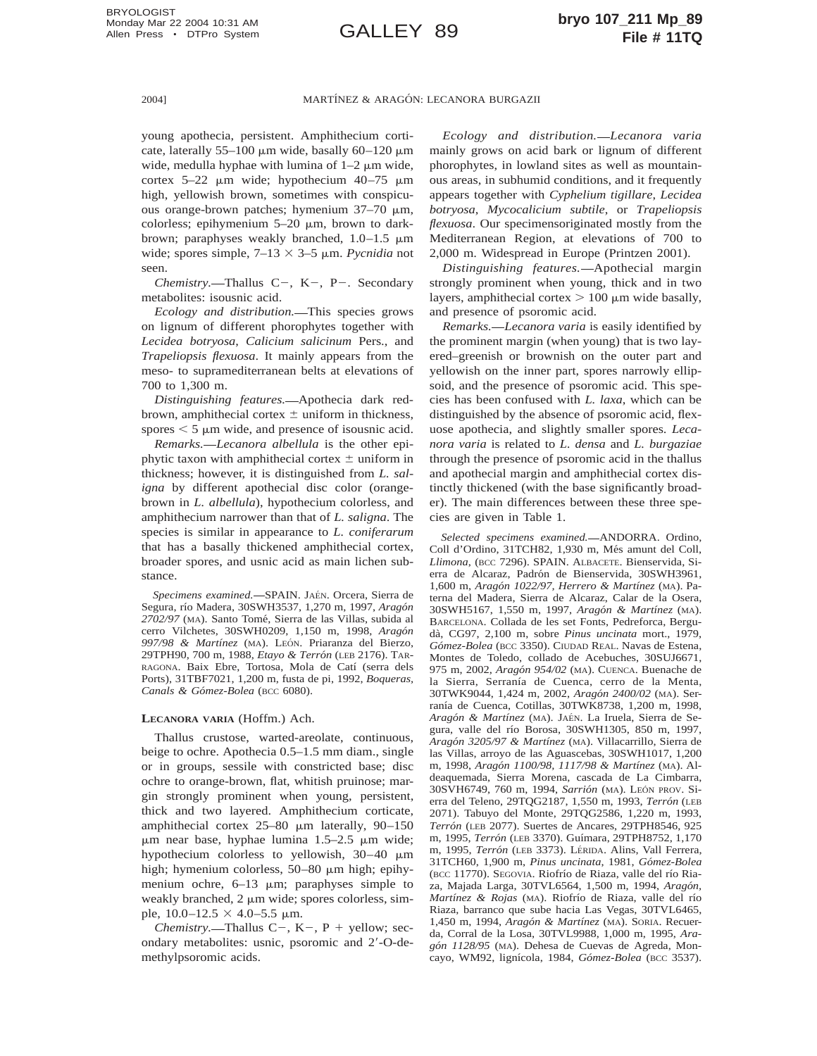# 2004] MARTÍNEZ & ARAGÓN: LECANORA BURGAZII

young apothecia, persistent. Amphithecium corticate, laterally 55–100  $\mu$ m wide, basally 60–120  $\mu$ m wide, medulla hyphae with lumina of  $1-2 \mu m$  wide, cortex  $5-22 \mu m$  wide; hypothecium  $40-75 \mu m$ high, yellowish brown, sometimes with conspicuous orange-brown patches; hymenium  $37-70 \mu m$ , colorless; epihymenium  $5-20 \mu m$ , brown to darkbrown; paraphyses weakly branched,  $1.0-1.5 \mu m$ wide; spores simple,  $7-13 \times 3-5$   $\mu$ m. *Pycnidia* not seen.

*Chemistry.*—Thallus C-, K-, P-. Secondary metabolites: isousnic acid.

*Ecology and distribution.* This species grows on lignum of different phorophytes together with *Lecidea botryosa*, *Calicium salicinum* Pers., and *Trapeliopsis flexuosa*. It mainly appears from the meso- to supramediterranean belts at elevations of 700 to 1,300 m.

*Distinguishing features.* Apothecia dark redbrown, amphithecial cortex  $\pm$  uniform in thickness, spores  $\leq 5$  µm wide, and presence of isousnic acid.

*Remarks. Lecanora albellula* is the other epiphytic taxon with amphithecial cortex  $\pm$  uniform in thickness; however, it is distinguished from *L. saligna* by different apothecial disc color (orangebrown in *L. albellula*), hypothecium colorless, and amphithecium narrower than that of *L. saligna*. The species is similar in appearance to *L. coniferarum* that has a basally thickened amphithecial cortex, broader spores, and usnic acid as main lichen substance.

Specimens examined.-SPAIN. JAÉN. Orcera, Sierra de Segura, río Madera, 30SWH3537, 1,270 m, 1997, Aragón *2702/97* (MA). Santo Tome´, Sierra de las Villas, subida al cerro Vilchetes, 30SWH0209, 1,150 m, 1998, *Arago´n* 997/98 & Martínez (MA). LEÓN. Priaranza del Bierzo, 29TPH90, 700 m, 1988, *Etayo & Terro´n* (LEB 2176). TAR-RAGONA. Baix Ebre, Tortosa, Mola de Catí (serra dels Ports), 31TBF7021, 1,200 m, fusta de pi, 1992, *Boqueras, Canals & Go´mez-Bolea* (BCC 6080).

# **LECANORA VARIA** (Hoffm.) Ach.

Thallus crustose, warted-areolate, continuous, beige to ochre. Apothecia 0.5–1.5 mm diam., single or in groups, sessile with constricted base; disc ochre to orange-brown, flat, whitish pruinose; margin strongly prominent when young, persistent, thick and two layered. Amphithecium corticate, amphithecial cortex  $25-80 \mu m$  laterally,  $90-150$  $\mu$ m near base, hyphae lumina 1.5–2.5  $\mu$ m wide; hypothecium colorless to yellowish,  $30-40 \mu m$ high; hymenium colorless,  $50-80 \mu m$  high; epihymenium ochre,  $6-13 \mu m$ ; paraphyses simple to weakly branched, 2  $\mu$ m wide; spores colorless, simple,  $10.0-12.5 \times 4.0-5.5 \mu m$ .

*Chemistry.*—Thallus  $C-, K-, P$  + yellow; secondary metabolites: usnic, psoromic and 2'-O-demethylpsoromic acids.

*Ecology and distribution. Lecanora varia* mainly grows on acid bark or lignum of different phorophytes, in lowland sites as well as mountainous areas, in subhumid conditions, and it frequently appears together with *Cyphelium tigillare*, *Lecidea botryosa*, *Mycocalicium subtile*, or *Trapeliopsis flexuosa*. Our specimensoriginated mostly from the Mediterranean Region, at elevations of 700 to 2,000 m. Widespread in Europe (Printzen 2001).

*Distinguishing features.* Apothecial margin strongly prominent when young, thick and in two layers, amphithecial cortex  $> 100 \mu m$  wide basally, and presence of psoromic acid.

*Remarks. Lecanora varia* is easily identified by the prominent margin (when young) that is two layered–greenish or brownish on the outer part and yellowish on the inner part, spores narrowly ellipsoid, and the presence of psoromic acid. This species has been confused with *L. laxa*, which can be distinguished by the absence of psoromic acid, flexuose apothecia, and slightly smaller spores. *Lecanora varia* is related to *L. densa* and *L. burgaziae* through the presence of psoromic acid in the thallus and apothecial margin and amphithecial cortex distinctly thickened (with the base significantly broader). The main differences between these three species are given in Table 1.

*Selected specimens examined.* ANDORRA. Ordino, Coll d'Ordino, 31TCH82, 1,930 m, Més amunt del Coll, *Llimona*, (BCC 7296). SPAIN. ALBACETE. Bienservida, Sierra de Alcaraz, Padrón de Bienservida, 30SWH3961, 1,600 m, *Arago´n 1022/97, Herrero & Martı´nez* (MA). Paterna del Madera, Sierra de Alcaraz, Calar de la Osera, 30SWH5167, 1,550 m, 1997, *Aragón & Martínez* (MA). BARCELONA. Collada de les set Fonts, Pedreforca, Berguda`, CG97, 2,100 m, sobre *Pinus uncinata* mort., 1979, *Go´mez-Bolea* (BCC 3350). CIUDAD REAL. Navas de Estena, Montes de Toledo, collado de Acebuches, 30SUJ6671, 975 m, 2002, *Arago´n 954/02* (MA). CUENCA. Buenache de la Sierra, Serranía de Cuenca, cerro de la Menta, 30TWK9044, 1,424 m, 2002, *Aragón 2400/02* (MA). Serranía de Cuenca, Cotillas, 30TWK8738, 1,200 m, 1998, *Arago´n & Martı´nez* (MA). JAE´N. La Iruela, Sierra de Segura, valle del río Borosa, 30SWH1305, 850 m. 1997. *Arago´n 3205/97 & Martı´nez* (MA). Villacarrillo, Sierra de las Villas, arroyo de las Aguascebas, 30SWH1017, 1,200 m, 1998, *Arago´n 1100/98, 1117/98 & Martı´nez* (MA). Aldeaquemada, Sierra Morena, cascada de La Cimbarra, 30SVH6749, 760 m, 1994, *Sarrión* (MA). LEÓN PROV. Sierra del Teleno, 29TQG2187, 1,550 m, 1993, *Terro´n* (LEB 2071). Tabuyo del Monte, 29TQG2586, 1,220 m, 1993, *Terro´n* (LEB 2077). Suertes de Ancares, 29TPH8546, 925 m, 1995, *Terro´n* (LEB 3370). Guı´mara, 29TPH8752, 1,170 m, 1995, *Terrón* (LEB 3373). LÉRIDA. Alins, Vall Ferrera, 31TCH60, 1,900 m, *Pinus uncinata*, 1981, *Go´mez-Bolea* (BCC 11770). SEGOVIA. Riofrío de Riaza, valle del río Riaza, Majada Larga, 30TVL6564, 1,500 m, 1994, Aragón, *Martínez & Rojas* (MA). Riofrío de Riaza, valle del río Riaza, barranco que sube hacia Las Vegas, 30TVL6465, 1,450 m, 1994, *Aragón & Martínez* (MA). SORIA. Recuerda, Corral de la Losa, 30TVL9988, 1,000 m, 1995, *Arago´n 1128/95* (MA). Dehesa de Cuevas de Agreda, Moncayo, WM92, lignícola, 1984, *Gómez-Bolea* (BCC 3537).